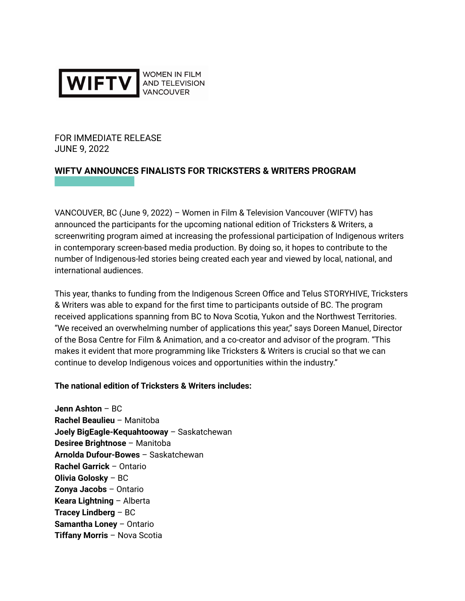

FOR IMMEDIATE RELEASE JUNE 9, 2022

# **WIFTV ANNOUNCES FINALISTS FOR TRICKSTERS & WRITERS PROGRAM**

VANCOUVER, BC (June 9, 2022) – Women in Film & Television Vancouver (WIFTV) has announced the participants for the upcoming national edition of Tricksters & Writers, a screenwriting program aimed at increasing the professional participation of Indigenous writers in contemporary screen-based media production. By doing so, it hopes to contribute to the number of Indigenous-led stories being created each year and viewed by local, national, and international audiences.

This year, thanks to funding from the Indigenous Screen Office and Telus STORYHIVE, Tricksters & Writers was able to expand for the first time to participants outside of BC. The program received applications spanning from BC to Nova Scotia, Yukon and the Northwest Territories. "We received an overwhelming number of applications this year," says Doreen Manuel, Director of the Bosa Centre for Film & Animation, and a co-creator and advisor of the program. "This makes it evident that more programming like Tricksters & Writers is crucial so that we can continue to develop Indigenous voices and opportunities within the industry."

### **The national edition of Tricksters & Writers includes:**

**Jenn Ashton** – BC **Rachel Beaulieu** – Manitoba **Joely BigEagle-Kequahtooway** – Saskatchewan **Desiree Brightnose** – Manitoba **Arnolda Dufour-Bowes** – Saskatchewan **Rachel Garrick** – Ontario **Olivia Golosky** – BC **Zonya Jacobs** – Ontario **Keara Lightning** – Alberta **Tracey Lindberg** – BC **Samantha Loney** – Ontario **Tiffany Morris** – Nova Scotia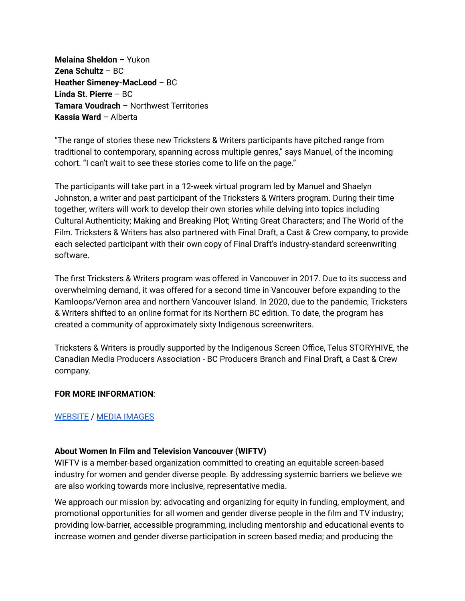**Melaina Sheldon** – Yukon **Zena Schultz** – BC **Heather Simeney-MacLeod** – BC **Linda St. Pierre** – BC **Tamara Voudrach** – Northwest Territories **Kassia Ward** – Alberta

"The range of stories these new Tricksters & Writers participants have pitched range from traditional to contemporary, spanning across multiple genres," says Manuel, of the incoming cohort. "I can't wait to see these stories come to life on the page."

The participants will take part in a 12-week virtual program led by Manuel and Shaelyn Johnston, a writer and past participant of the Tricksters & Writers program. During their time together, writers will work to develop their own stories while delving into topics including Cultural Authenticity; Making and Breaking Plot; Writing Great Characters; and The World of the Film. Tricksters & Writers has also partnered with Final Draft, a Cast & Crew company, to provide each selected participant with their own copy of Final Draft's industry-standard screenwriting software.

The first Tricksters & Writers program was offered in Vancouver in 2017. Due to its success and overwhelming demand, it was offered for a second time in Vancouver before expanding to the Kamloops/Vernon area and northern Vancouver Island. In 2020, due to the pandemic, Tricksters & Writers shifted to an online format for its Northern BC edition. To date, the program has created a community of approximately sixty Indigenous screenwriters.

Tricksters & Writers is proudly supported by the Indigenous Screen Office, Telus STORYHIVE, the Canadian Media Producers Association - BC Producers Branch and Final Draft, a Cast & Crew company.

### **FOR MORE INFORMATION**:

## [WEBSITE](https://www.womeninfilm.ca/Tricksters_and_Writers_.html) / MEDIA [IMAGES](https://drive.google.com/drive/folders/1qWoQQpUeblAAF9m3iE9FaSUVtjPbPRhh?usp=sharing)

### **About Women In Film and Television Vancouver (WIFTV)**

WIFTV is a member-based organization committed to creating an equitable screen-based industry for women and gender diverse people. By addressing systemic barriers we believe we are also working towards more inclusive, representative media.

We approach our mission by: advocating and organizing for equity in funding, employment, and promotional opportunities for all women and gender diverse people in the film and TV industry; providing low-barrier, accessible programming, including mentorship and educational events to increase women and gender diverse participation in screen based media; and producing the